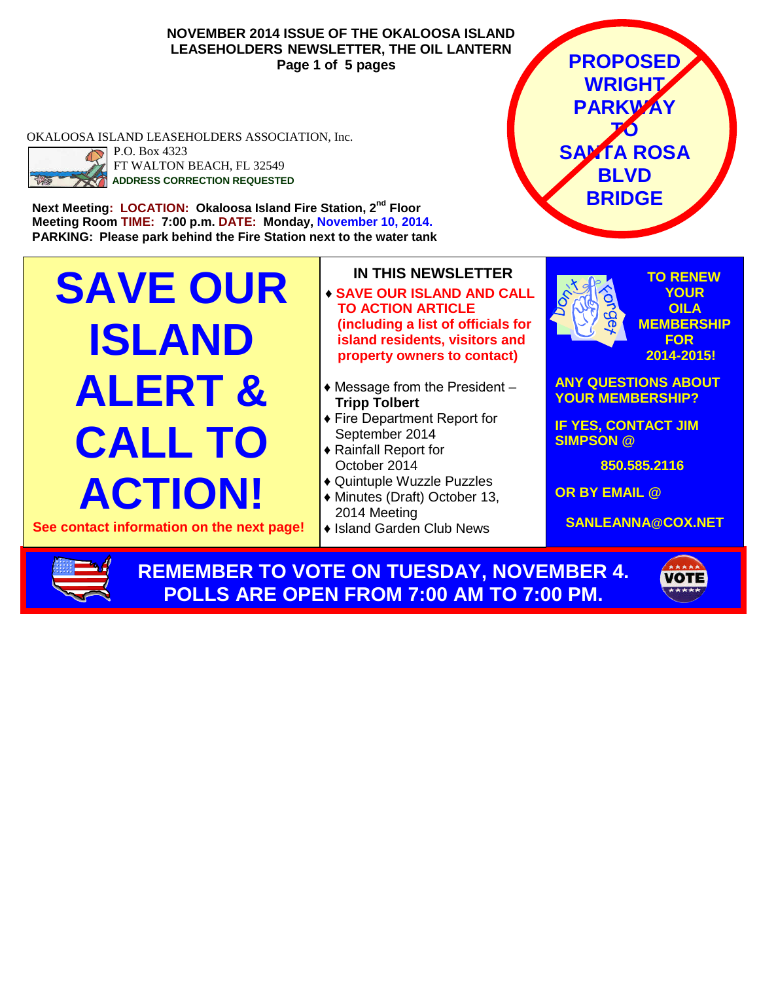**NOVEMBER 2014 ISSUE OF THE OKALOOSA ISLAND LEASEHOLDERS NEWSLETTER, THE OIL LANTERN Page 1 of 5 pages**

OKALOOSA ISLAND LEASEHOLDERS ASSOCIATION, Inc.



P.O. Box 4323 FT WALTON BEACH, FL 32549 **ADDRESS CORRECTION REQUESTED**

**Meeting Room TIME: 7:00 p.m. DATE: Monday, November 10, 2014. PARKING: Please park behind the Fire Station next to the water tank**

**SAVE OUR ISLAND ALERT & CALL TO ACTION!**

**See contact information on the next page!**

- **IN THIS NEWSLETTER** ♦ **SAVE OUR ISLAND AND CALL TO ACTION ARTICLE (including a list of officials for island residents, visitors and property owners to contact)**
- $\triangleleft$  Message from the President  $-$ **Tripp Tolbert**
- ♦ Fire Department Report for September 2014
- ♦ Rainfall Report for October 2014
- ♦ Quintuple Wuzzle Puzzles
- ♦ Minutes (Draft) October 13, 2014 Meeting
- ♦ Island Garden Club News



**PROPOSED**

**850.585.2116**

**OR BY EMAIL @**

**SANLEANNA@COX.NET**

**REMEMBER TO VOTE ON TUESDAY, NOVEMBER 4. POLLS ARE OPEN FROM 7:00 AM TO 7:00 PM.**

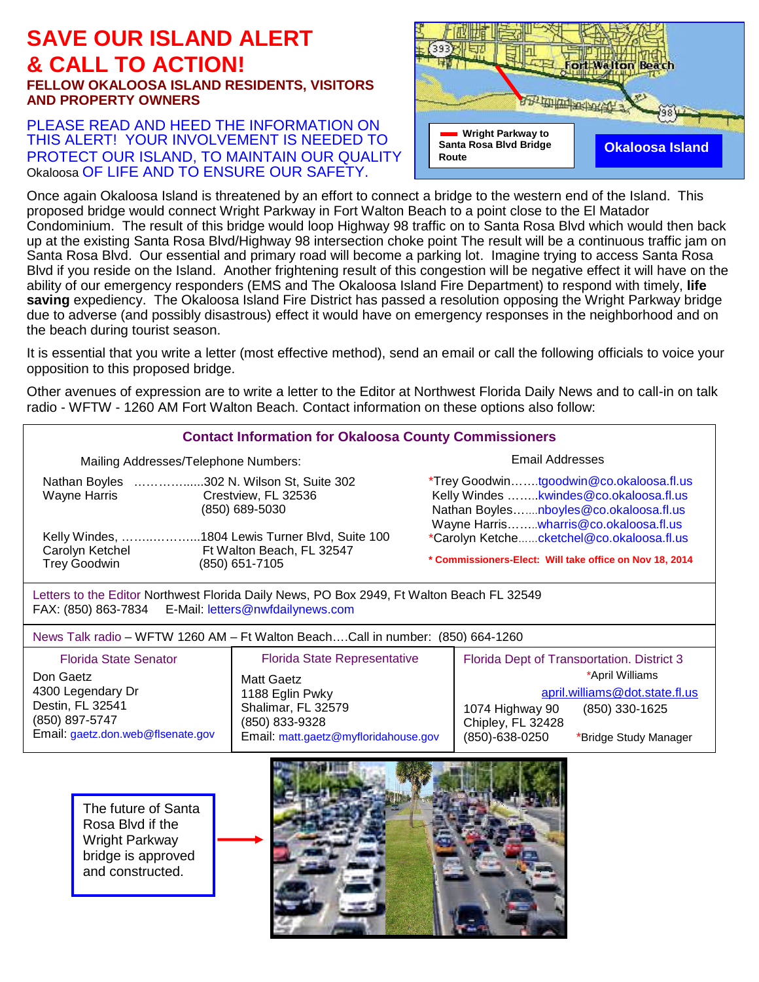### **SAVE OUR ISLAND ALERT & CALL TO ACTION! FELLOW OKALOOSA ISLAND RESIDENTS, VISITORS AND PROPERTY OWNERS**

#### PLEASE READ AND HEED THE INFORMATION ON THIS ALERT! YOUR INVOLVEMENT IS NEEDED TO PROTECT OUR ISLAND, TO MAINTAIN OUR QUALITY Okaloosa OF LIFE AND TO ENSURE OUR SAFETY.



Once again Okaloosa Island is threatened by an effort to connect a bridge to the western end of the Island. This proposed bridge would connect Wright Parkway in Fort Walton Beach to a point close to the El Matador Condominium. The result of this bridge would loop Highway 98 traffic on to Santa Rosa Blvd which would then back up at the existing Santa Rosa Blvd/Highway 98 intersection choke point The result will be a continuous traffic jam on Santa Rosa Blvd. Our essential and primary road will become a parking lot. Imagine trying to access Santa Rosa Blvd if you reside on the Island. Another frightening result of this congestion will be negative effect it will have on the ability of our emergency responders (EMS and The Okaloosa Island Fire Department) to respond with timely, **life saving** expediency. The Okaloosa Island Fire District has passed a resolution opposing the Wright Parkway bridge due to adverse (and possibly disastrous) effect it would have on emergency responses in the neighborhood and on the beach during tourist season.

It is essential that you write a letter (most effective method), send an email or call the following officials to voice your opposition to this proposed bridge.

Other avenues of expression are to write a letter to the Editor at Northwest Florida Daily News and to call-in on talk radio - WFTW - 1260 AM Fort Walton Beach. Contact information on these options also follow:

| <b>Contact Information for Okaloosa County Commissioners</b>                                                                                      |                                                                              |                                                                                                                                                                       |  |  |
|---------------------------------------------------------------------------------------------------------------------------------------------------|------------------------------------------------------------------------------|-----------------------------------------------------------------------------------------------------------------------------------------------------------------------|--|--|
| Mailing Addresses/Telephone Numbers:                                                                                                              |                                                                              | Email Addresses                                                                                                                                                       |  |  |
| Nathan Boyles 302 N. Wilson St, Suite 302<br>Wayne Harris<br>Crestview, FL 32536<br>(850) 689-5030                                                |                                                                              | *Trey Goodwintgoodwin@co.okaloosa.fl.us<br>Kelly Windes kwindes@co.okaloosa.fl.us<br>Nathan Boylesnboyles@co.okaloosa.fl.us<br>Wayne Harris wharris@co.okaloosa.fl.us |  |  |
| Kelly Windes, 1804 Lewis Turner Blvd, Suite 100                                                                                                   |                                                                              | *Carolyn Ketchecketchel@co.okaloosa.fl.us                                                                                                                             |  |  |
| Carolyn Ketchel<br><b>Trey Goodwin</b>                                                                                                            | Ft Walton Beach, FL 32547<br>(850) 651-7105                                  | * Commissioners-Elect: Will take office on Nov 18, 2014                                                                                                               |  |  |
| Letters to the Editor Northwest Florida Daily News, PO Box 2949, Ft Walton Beach FL 32549<br>FAX: (850) 863-7834 E-Mail: letters@nwfdailynews.com |                                                                              |                                                                                                                                                                       |  |  |
| News Talk radio - WFTW 1260 AM - Ft Walton BeachCall in number: (850) 664-1260                                                                    |                                                                              |                                                                                                                                                                       |  |  |
| <b>Florida State Senator</b><br>Don Gaetz<br>4300 Legendary Dr                                                                                    | <b>Florida State Representative</b><br><b>Matt Gaetz</b><br>1188 Eglin Pwky  | Florida Dept of Transportation. District 3<br>*April Williams<br>april.williams@dot.state.fl.us                                                                       |  |  |
| Destin, FL 32541<br>(850) 897-5747<br>Email: gaetz.don.web@flsenate.gov                                                                           | Shalimar, FL 32579<br>(850) 833-9328<br>Email: matt.gaetz@myfloridahouse.gov | 1074 Highway 90<br>(850) 330-1625<br>Chipley, FL 32428<br>(850)-638-0250<br>*Bridge Study Manager                                                                     |  |  |
| The future of Santa<br>Rosa Blvd if the<br>Wright Parkway<br>bridge is approved<br>and constructed.                                               |                                                                              |                                                                                                                                                                       |  |  |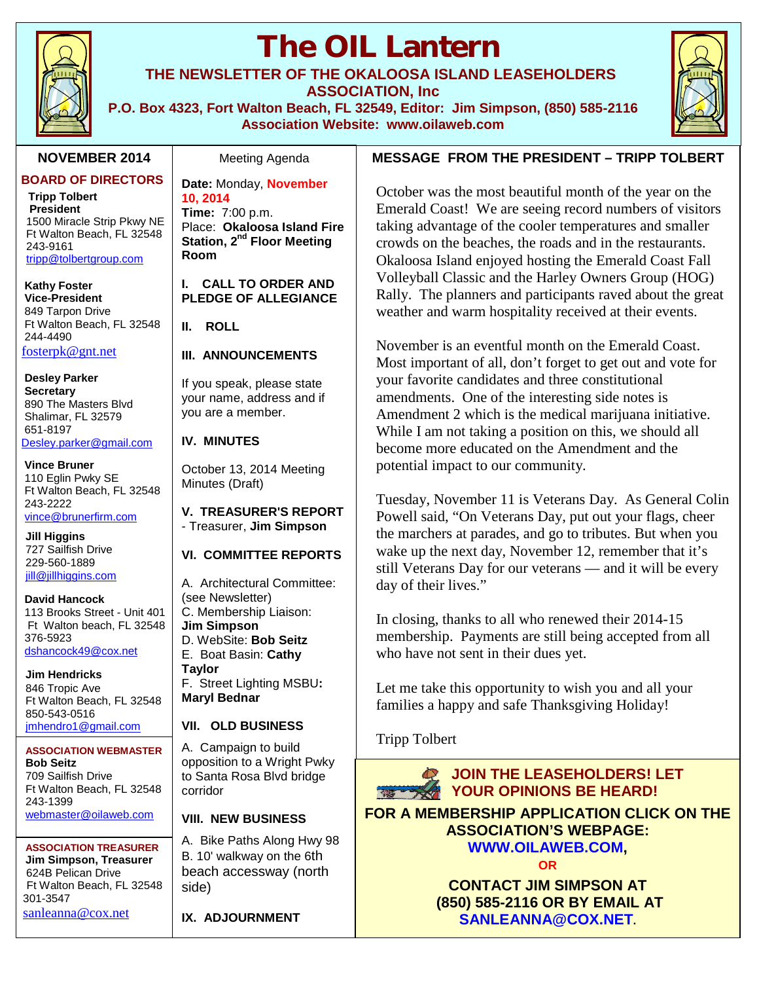

# **The OIL Lantern**

**THE NEWSLETTER OF THE OKALOOSA ISLAND LEASEHOLDERS ASSOCIATION, Inc**

**P.O. Box 4323, Fort Walton Beach, FL 32549, Editor: Jim Simpson, (850) 585-2116 Association Website: www.oilaweb.com**

#### **NOVEMBER 2014**

**BOARD OF DIRECTORS**

**Tripp Tolbert President** 1500 Miracle Strip Pkwy NE Ft Walton Beach, FL 32548 243-9161 tripp@tolbertgroup.com

**Kathy Foster Vice-President** 849 Tarpon Drive Ft Walton Beach, FL 32548 244-4490 fosterpk@gnt.net

**Desley Parker Secretary** 890 The Masters Blvd Shalimar, FL 32579 651-8197 Desley.parker@gmail.com

**Vince Bruner** 110 Eglin Pwky SE Ft Walton Beach, FL 32548 243-2222 vince@brunerfirm.com

**Jill Higgins** 727 Sailfish Drive 229-560-1889 jill@jillhiggins.com

**David Hancock** 113 Brooks Street - Unit 401 Ft Walton beach, FL 32548 376-5923 dshancock49@cox.net

**Jim Hendricks** 846 Tropic Ave Ft Walton Beach, FL 32548 850-543-0516 jmhendro1@gmail.com

#### **ASSOCIATION WEBMASTER Bob Seitz** 709 Sailfish Drive Ft Walton Beach, FL 32548 243-1399 webmaster@oilaweb.com

**ASSOCIATION TREASURER Jim Simpson, Treasurer** 624B Pelican Drive Ft Walton Beach, FL 32548 301-3547 sanleanna@cox.net

#### Meeting Agenda

**Date:** Monday, **November 10, 2014 Time:** 7:00 p.m. Place: **Okaloosa Island Fire Station, 2nd Floor Meeting Room**

**I. CALL TO ORDER AND PLEDGE OF ALLEGIANCE**

**II. ROLL**

#### **III. ANNOUNCEMENTS**

If you speak, please state your name, address and if you are a member.

#### **IV. MINUTES**

October 13, 2014 Meeting Minutes (Draft)

**V. TREASURER'S REPORT** - Treasurer, **Jim Simpson**

#### **VI. COMMITTEE REPORTS**

A. Architectural Committee: (see Newsletter) C. Membership Liaison: **Jim Simpson** D. WebSite: **Bob Seitz** E. Boat Basin: **Cathy Taylor** F. Street Lighting MSBU**: Maryl Bednar**

#### **VII. OLD BUSINESS**

A. Campaign to build opposition to a Wright Pwky to Santa Rosa Blvd bridge corridor

#### **VIII. NEW BUSINESS**

A. Bike Paths Along Hwy 98 B. 10' walkway on the 6th beach accessway (north side)

**IX. ADJOURNMENT**

#### **MESSAGE FROM THE PRESIDENT – TRIPP TOLBERT**

October was the most beautiful month of the year on the Emerald Coast! We are seeing record numbers of visitors taking advantage of the cooler temperatures and smaller crowds on the beaches, the roads and in the restaurants. Okaloosa Island enjoyed hosting the Emerald Coast Fall Volleyball Classic and the Harley Owners Group (HOG) Rally. The planners and participants raved about the great weather and warm hospitality received at their events.

November is an eventful month on the Emerald Coast. Most important of all, don't forget to get out and vote for your favorite candidates and three constitutional amendments. One of the interesting side notes is Amendment 2 which is the medical marijuana initiative. While I am not taking a position on this, we should all become more educated on the Amendment and the potential impact to our community.

Tuesday, November 11 is Veterans Day. As General Colin Powell said, "On Veterans Day, put out your flags, cheer the marchers at parades, and go to tributes. But when you wake up the next day, November 12, remember that it's still Veterans Day for our veterans — and it will be every day of their lives."

In closing, thanks to all who renewed their 2014-15 membership. Payments are still being accepted from all who have not sent in their dues yet.

Let me take this opportunity to wish you and all your families a happy and safe Thanksgiving Holiday!

Tripp Tolbert

**JOIN THE LEASEHOLDERS! LET YOUR OPINIONS BE HEARD!** 

**FOR A MEMBERSHIP APPLICATION CLICK ON THE ASSOCIATION'S WEBPAGE: WWW.OILAWEB.COM,**

**OR**

**CONTACT JIM SIMPSON AT (850) 585-2116 OR BY EMAIL AT SANLEANNA@COX.NET.**

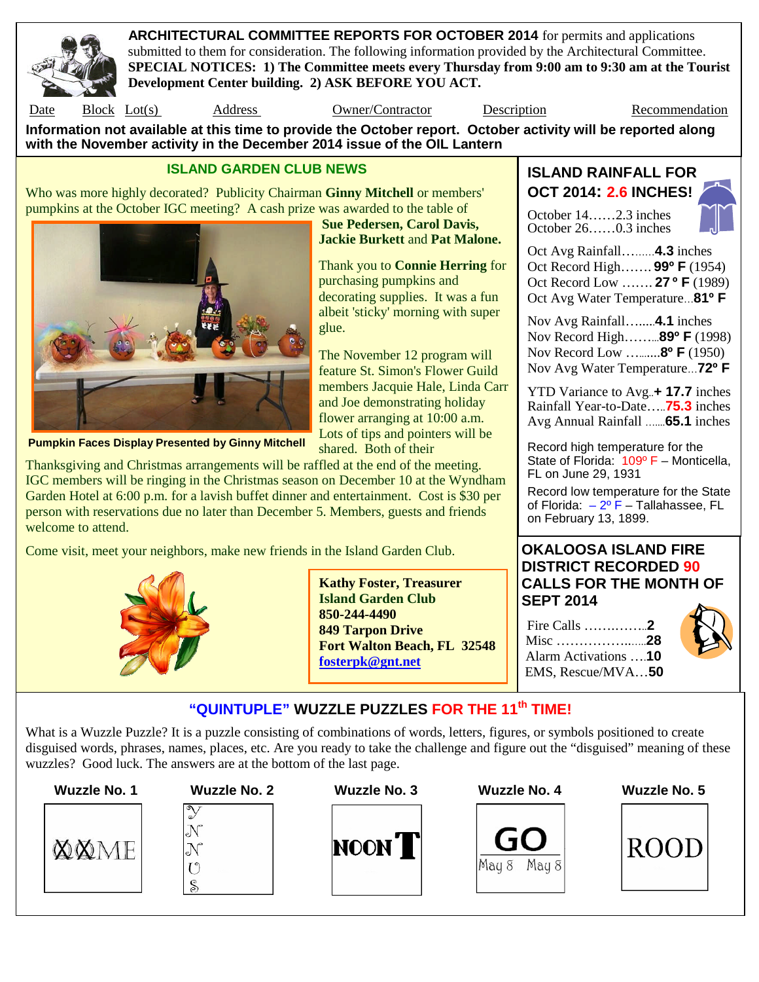

**ARCHITECTURAL COMMITTEE REPORTS FOR OCTOBER 2014** for permits and applications submitted to them for consideration. The following information provided by the Architectural Committee. **SPECIAL NOTICES: 1) The Committee meets every Thursday from 9:00 am to 9:30 am at the Tourist Development Center building. 2) ASK BEFORE YOU ACT.**

Date Block Lot(s) Address Owner/Contractor Description Recommendation

**Sue Pedersen, Carol Davis, Jackie Burkett** and **Pat Malone.**

purchasing pumpkins and

shared. Both of their

glue.

Thank you to **Connie Herring** for

decorating supplies. It was a fun albeit 'sticky' morning with super

The November 12 program will feature St. Simon's Flower Guild members Jacquie Hale, Linda Carr and Joe demonstrating holiday flower arranging at 10:00 a.m. Lots of tips and pointers will be

**Information not available at this time to provide the October report. October activity will be reported along with the November activity in the December 2014 issue of the OIL Lantern**

#### **ISLAND GARDEN CLUB NEWS**

Who was more highly decorated? Publicity Chairman **Ginny Mitchell** or members' pumpkins at the October IGC meeting? A cash prize was awarded to the table of



**Pumpkin Faces Display Presented by Ginny Mitchell**

Thanksgiving and Christmas arrangements will be raffled at the end of the meeting. IGC members will be ringing in the Christmas season on December 10 at the Wyndham Garden Hotel at 6:00 p.m. for a lavish buffet dinner and entertainment. Cost is \$30 per person with reservations due no later than December 5. Members, guests and friends welcome to attend.

Come visit, meet your neighbors, make new friends in the Island Garden Club.



**Kathy Foster, Treasurer Island Garden Club 850-244-4490 849 Tarpon Drive Fort Walton Beach, FL 32548 fosterpk@gnt.net**

**ISLAND RAINFALL FOR OCT 2014: 2.6 INCHES!**

October 14……2.3 inches October 26……0.3 inches



Oct Avg Rainfall………**4.3** inches Oct Record High……. **99º F** (1954) Oct Record Low ……. **27 º F** (1989) Oct Avg Water Temperature…**81º F**

Nov Avg Rainfall….....**4.1** inches Nov Record High……...**89º F** (1998) Nov Record Low ….......**8º F** (1950) Nov Avg Water Temperature…**72º F**

YTD Variance to Avg..**+ 17.7** inches Rainfall Year-to-Date…..**75.3** inches Avg Annual Rainfall …....**65.1** inches

Record high temperature for the State of Florida: 109º F - Monticella, FL on June 29, 1931

Record low temperature for the State of Florida:  $-2^{\circ}$  F – Tallahassee, FL on February 13, 1899.

### **OKALOOSA ISLAND FIRE DISTRICT RECORDED 90 CALLS FOR THE MONTH OF SEPT 2014**

Fire Calls …….……..**2** Misc ……………..…..**28** Alarm Activations ….**10** EMS, Rescue/MVA…**50**



## **"QUINTUPLE" WUZZLE PUZZLES FOR THE 11th TIME!**

What is a Wuzzle Puzzle? It is a puzzle consisting of combinations of words, letters, figures, or symbols positioned to create disguised words, phrases, names, places, etc. Are you ready to take the challenge and figure out the "disguised" meaning of these wuzzles? Good luck. The answers are at the bottom of the last page.





S